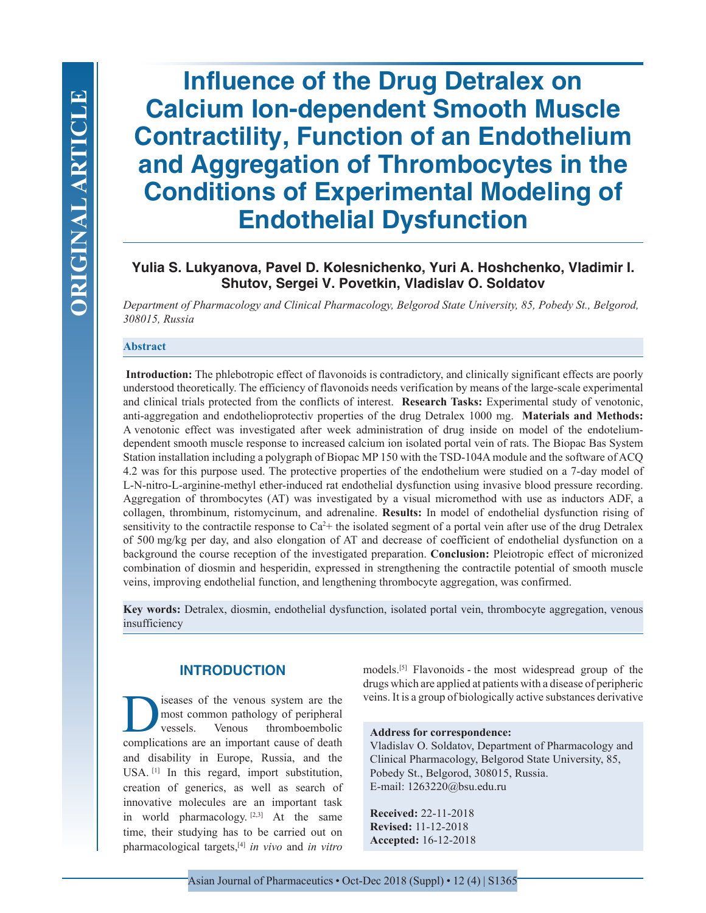**Influence of the Drug Detralex on Calcium Ion-dependent Smooth Muscle Contractility, Function of an Endothelium and Aggregation of Thrombocytes in the Conditions of Experimental Modeling of Endothelial Dysfunction**

# **Yulia S. Lukyanova, Pavel D. Kolesnichenko, Yuri A. Hoshchenko, Vladimir I. Shutov, Sergei V. Povetkin, Vladislav O. Soldatov**

*Department of Pharmacology and Clinical Pharmacology, Belgorod State University, 85, Pobedy St., Belgorod, 308015, Russia*

#### **Abstract**

 **Introduction:** The phlebotropic effect of flavonoids is contradictory, and clinically significant effects are poorly understood theoretically. The efficiency of flavonoids needs verification by means of the large-scale experimental and clinical trials protected from the conflicts of interest. **Research Tasks:** Experimental study of venotonic, anti-aggregation and endothelioprotectiv properties of the drug Detralex 1000 mg. **Materials and Methods:**  A venotonic effect was investigated after week administration of drug inside on model of the endoteliumdependent smooth muscle response to increased calcium ion isolated portal vein of rats. The Biopac Bas System Station installation including a polygraph of Biopac MP 150 with the TSD-104A module and the software of ACQ 4.2 was for this purpose used. The protective properties of the endothelium were studied on a 7-day model of L-N-nitro-L-arginine-methyl ether-induced rat endothelial dysfunction using invasive blood pressure recording. Aggregation of thrombocytes (AT) was investigated by a visual micromethod with use as inductors ADF, a collagen, thrombinum, ristomycinum, and adrenaline. **Results:** In model of endothelial dysfunction rising of sensitivity to the contractile response to  $Ca^{2+}$  the isolated segment of a portal vein after use of the drug Detralex of 500 mg/kg per day, and also elongation of AT and decrease of coefficient of endothelial dysfunction on a background the course reception of the investigated preparation. **Conclusion:** Pleiotropic effect of micronized combination of diosmin and hesperidin, expressed in strengthening the contractile potential of smooth muscle veins, improving endothelial function, and lengthening thrombocyte aggregation, was сonfirmed.

**Key words:** Detralex, diosmin, endothelial dysfunction, isolated portal vein, thrombocyte aggregation, venous insufficiency

# **INTRODUCTION**

iseases of the venous system are the<br>most common pathology of peripheral<br>vessels. Venous thromboembolic<br>complications are an important cause of death most common pathology of peripheral vessels. Venous thromboembolic complications are an important cause of death and disability in Europe, Russia, and the USA. [1] In this regard, import substitution, creation of generics, as well as search of innovative molecules are an important task in world pharmacology. [2,3] At the same time, their studying has to be carried out on pharmacological targets,[4] *in vivo* and *in vitro*

models.[5] Flavonoids - the most widespread group of the drugs which are applied at patients with a disease of peripheric veins. It is a group of biologically active substances derivative

#### **Address for correspondence:**

Vladislav O. Soldatov, Department of Pharmacology and Clinical Pharmacology, Belgorod State University, 85, Pobedy St., Belgorod, 308015, Russia. E-mail: 1263220@bsu.edu.ru

**Received:** 22-11-2018 **Revised:** 11-12-2018 **Accepted:** 16-12-2018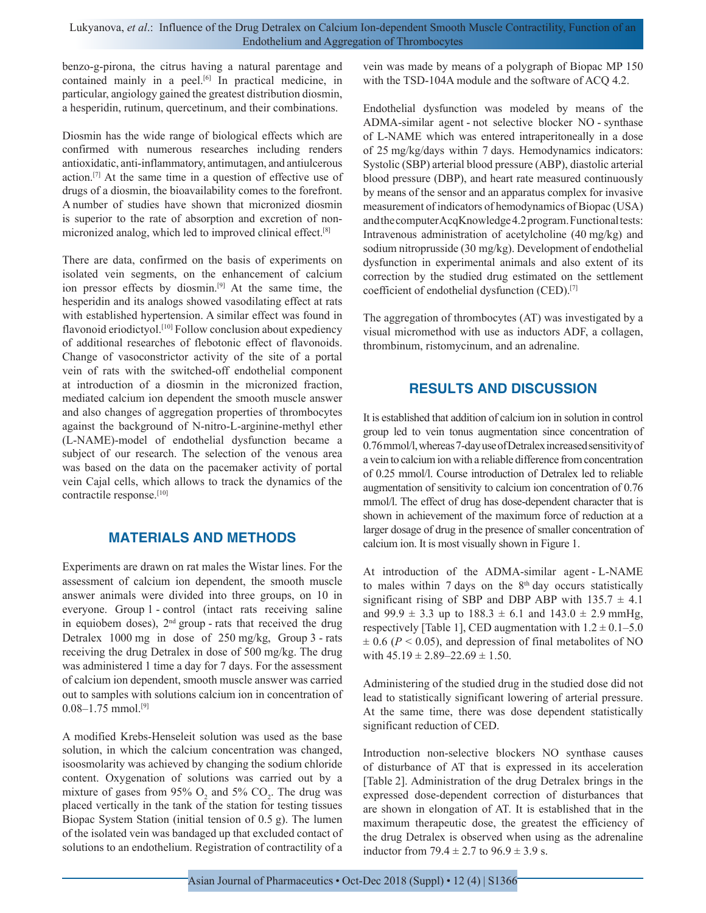benzo-g-pirona, the citrus having a natural parentage and contained mainly in a peel.<sup>[6]</sup> In practical medicine, in particular, angiology gained the greatest distribution diosmin, a hesperidin, rutinum, quercetinum, and their combinations.

Diosmin has the wide range of biological effects which are confirmed with numerous researches including renders antioxidatic, anti-inflammatory, antimutagen, and antiulcerous action.[7] At the same time in a question of effective use of drugs of a diosmin, the bioavailability comes to the forefront. A number of studies have shown that micronized diosmin is superior to the rate of absorption and excretion of nonmicronized analog, which led to improved clinical effect.[8]

There are data, confirmed on the basis of experiments on isolated vein segments, on the enhancement of calcium ion pressor effects by diosmin.[9] At the same time, the hesperidin and its analogs showed vasodilating effect at rats with established hypertension. A similar effect was found in flavonoid eriodictyol.<sup>[10]</sup> Follow conclusion about expediency of additional researches of flebotonic effect of flavonoids. Change of vasoconstrictor activity of the site of a portal vein of rats with the switched-off endothelial component at introduction of a diosmin in the micronized fraction, mediated calcium ion dependent the smooth muscle answer and also changes of aggregation properties of thrombocytes against the background of N-nitro-L-arginine-methyl ether (L-NAME)-model of endothelial dysfunction became a subject of our research. The selection of the venous area was based on the data on the pacemaker activity of portal vein Cajal cells, which allows to track the dynamics of the contractile response.[10]

## **MATERIALS AND METHODS**

Experiments are drawn on rat males the Wistar lines. For the assessment of calcium ion dependent, the smooth muscle answer animals were divided into three groups, on 10 in everyone. Group 1 - control (intact rats receiving saline in equiobem doses),  $2<sup>nd</sup>$  group - rats that received the drug Detralex 1000 mg in dose of 250 mg/kg, Group 3 - rats receiving the drug Detralex in dose of 500 mg/kg. The drug was administered 1 time a day for 7 days. For the assessment of calcium ion dependent, smooth muscle answer was carried out to samples with solutions calcium ion in concentration of  $0.08-1.75$  mmol.<sup>[9]</sup>

A modified Krebs-Henseleit solution was used as the base solution, in which the calcium concentration was changed, isoosmolarity was achieved by changing the sodium chloride content. Oxygenation of solutions was carried out by a mixture of gases from 95%  $O_2$  and 5%  $CO_2$ . The drug was placed vertically in the tank of the station for testing tissues Biopac System Station (initial tension of 0.5 g). The lumen of the isolated vein was bandaged up that excluded contact of solutions to an endothelium. Registration of contractility of a

vein was made by means of a polygraph of Biopac MP 150 with the TSD-104A module and the software of ACQ 4.2.

Endothelial dysfunction was modeled by means of the ADMA-similar agent - not selective blocker NO - synthase of L-NAME which was entered intraperitoneally in a dose of 25 mg/kg/days within 7 days. Hemodynamics indicators: Systolic (SBP) arterial blood pressure (ABP), diastolic arterial blood pressure (DBP), and heart rate measured continuously by means of the sensor and an apparatus complex for invasive measurement of indicators of hemodynamics of Biopac (USA) and the computer AcqKnowledge 4.2 program. Functional tests: Intravenous administration of acetylcholine (40 mg/kg) and sodium nitroprusside (30 mg/kg). Development of endothelial dysfunction in experimental animals and also extent of its correction by the studied drug estimated on the settlement coefficient of endothelial dysfunction (CED).[7]

The aggregation of thrombocytes (AT) was investigated by a visual micromethod with use as inductors ADF, a collagen, thrombinum, ristomycinum, and an adrenaline.

## **RESULTS AND DISCUSSION**

It is established that addition of calcium ion in solution in control group led to vein tonus augmentation since concentration of 0.76 mmol/l, whereas 7-day use of Detralex increased sensitivity of a vein to calcium ion with a reliable difference from concentration of 0.25 mmol/l. Course introduction of Detralex led to reliable augmentation of sensitivity to calcium ion concentration of 0.76 mmol/l. The effect of drug has dose-dependent character that is shown in achievement of the maximum force of reduction at a larger dosage of drug in the presence of smaller concentration of calcium ion. It is most visually shown in Figure 1.

At introduction of the ADMA-similar agent - L-NAME to males within 7 days on the  $8<sup>th</sup>$  day occurs statistically significant rising of SBP and DBP ABP with  $135.7 \pm 4.1$ and 99.9  $\pm$  3.3 up to 188.3  $\pm$  6.1 and 143.0  $\pm$  2.9 mmHg, respectively [Table 1], CED augmentation with  $1.2 \pm 0.1 - 5.0$  $\pm$  0.6 ( $P$  < 0.05), and depression of final metabolites of NO with  $45.19 \pm 2.89 - 22.69 \pm 1.50$ .

Administering of the studied drug in the studied dose did not lead to statistically significant lowering of arterial pressure. At the same time, there was dose dependent statistically significant reduction of CED.

Introduction non-selective blockers NO synthase causes of disturbance of AT that is expressed in its acceleration [Table 2]. Administration of the drug Detralex brings in the expressed dose-dependent correction of disturbances that are shown in elongation of AT. It is established that in the maximum therapeutic dose, the greatest the efficiency of the drug Detralex is observed when using as the adrenaline inductor from  $79.4 \pm 2.7$  to  $96.9 \pm 3.9$  s.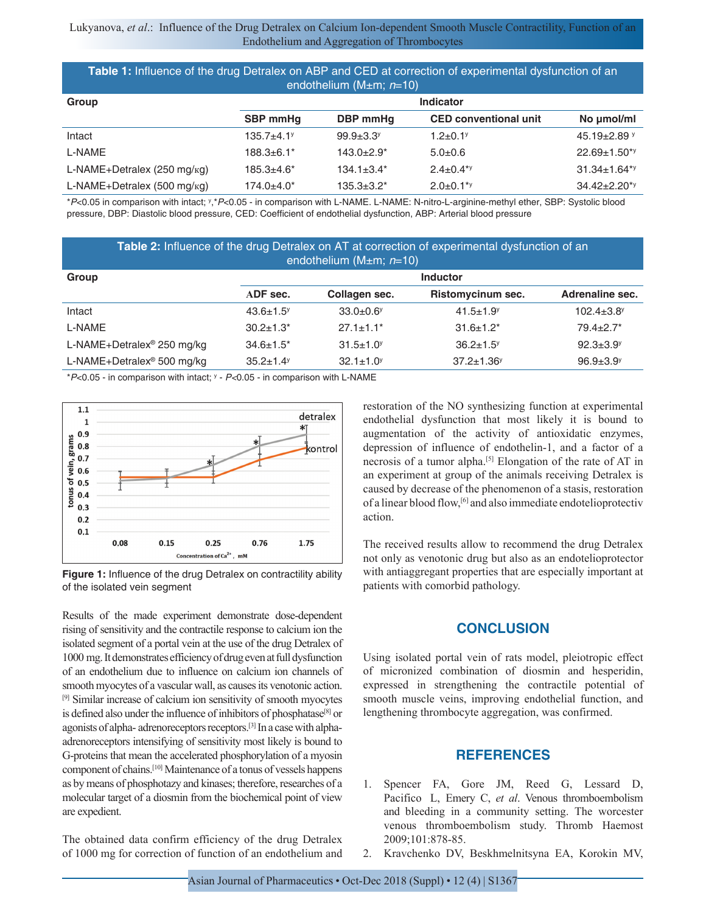| Table 1: Influence of the drug Detralex on ABP and CED at correction of experimental dysfunction of an<br>endothelium (M $\pm$ m; n=10) |                  |                              |                              |                                |  |  |
|-----------------------------------------------------------------------------------------------------------------------------------------|------------------|------------------------------|------------------------------|--------------------------------|--|--|
| Group                                                                                                                                   | <b>Indicator</b> |                              |                              |                                |  |  |
|                                                                                                                                         | <b>SBP</b> mmHq  | DBP mmHq                     | <b>CED conventional unit</b> | No umol/ml                     |  |  |
| Intact                                                                                                                                  | $135.7 + 4.1$    | $99.9 + 3.3$                 | $1.2 + 0.1$ <sup>y</sup>     | 45.19 $\pm$ 2.89 $y$           |  |  |
| L-NAME                                                                                                                                  | $188.3 \pm 6.1*$ | $143.0+2.9*$                 | $5.0+0.6$                    | $22.69 \pm 1.50^{*y}$          |  |  |
| L-NAME+Detralex (250 mg/ $kg$ )                                                                                                         | $185.3 + 4.6*$   | $134.1 \pm 3.4$ <sup>*</sup> | $2.4 \pm 0.4$ <sup>*y</sup>  | $31.34 \pm 1.64$ <sup>*y</sup> |  |  |
| L-NAME+Detralex (500 mg/ $kq$ )                                                                                                         | 174.0±4.0*       | $135.3 \pm 3.2^*$            | $2.0 \pm 0.1$ <sup>*y</sup>  | $34.42 \pm 2.20^{*y}$          |  |  |

\**P*<0.05 in comparison with intact; y,\**P*<0.05 - in comparison with L-NAME. L-NAME: N-nitro-L-arginine-methyl ether, SBP: Systolic blood pressure, DBP: Diastolic blood pressure, CED: Coefficient of endothelial dysfunction, ABP: Arterial blood pressure

| Table 2: Influence of the drug Detralex on AT at correction of experimental dysfunction of an<br>endothelium (M $\pm$ m; n=10) |                             |                             |                              |                              |  |  |
|--------------------------------------------------------------------------------------------------------------------------------|-----------------------------|-----------------------------|------------------------------|------------------------------|--|--|
| Group                                                                                                                          |                             | <b>Inductor</b>             |                              |                              |  |  |
|                                                                                                                                | ADF sec.                    | Collagen sec.               | Ristomycinum sec.            | Adrenaline sec.              |  |  |
| Intact                                                                                                                         | $43.6 \pm 1.5$ <sup>y</sup> | $33.0 + 0.6$                | $41.5 \pm 1.9$ <sup>y</sup>  | $102.4 \pm 3.8$ <sup>y</sup> |  |  |
| L-NAME                                                                                                                         | $30.2 \pm 1.3$ *            | $27.1 \pm 1.1$ <sup>*</sup> | $31.6 \pm 1.2^*$             | $79.4 \pm 2.7$ *             |  |  |
| L-NAME+Detralex <sup>®</sup> 250 mg/kg                                                                                         | $34.6 \pm 1.5^*$            | $31.5 \pm 1.0$              | $36.2 \pm 1.5$               | $92.3 \pm 3.9$ <sup>y</sup>  |  |  |
| L-NAME+Detralex <sup>®</sup> 500 mg/kg                                                                                         | $35.2 \pm 1.4$ <sup>y</sup> | $32.1 \pm 1.0^y$            | $37.2 \pm 1.36$ <sup>y</sup> | $96.9 + 3.9$                 |  |  |

\**P*<0.05 ‑ in comparison with intact; y ‑ *P<*0.05 ‑ in comparison with L‑NAME



**Figure 1:** Influence of the drug Detralex on contractility ability of the isolated vein segment

Results of the made experiment demonstrate dose-dependent rising of sensitivity and the contractile response to calcium ion the isolated segment of a portal vein at the use of the drug Detralex of 1000 mg. It demonstrates efficiency of drug even at full dysfunction of an endothelium due to influence on calcium ion channels of smooth myocytes of a vascular wall, as causes its venotonic action. [9] Similar increase of calcium ion sensitivity of smooth myocytes is defined also under the influence of inhibitors of phosphatase<sup>[8]</sup> or agonists of alpha- adrenoreceptors receptors.[3] In a case with alphaadrenoreceptors intensifying of sensitivity most likely is bound to G-proteins that mean the accelerated phosphorylation of a myosin component of chains.[10] Maintenance of a tonus of vessels happens as by means of phosphotazy and kinases; therefore, researches of a molecular target of a diosmin from the biochemical point of view are expedient.

The obtained data confirm efficiency of the drug Detralex of 1000 mg for correction of function of an endothelium and restoration of the NO synthesizing function at experimental endothelial dysfunction that most likely it is bound to augmentation of the activity of antioxidatic enzymes, depression of influence of endothelin-1, and a factor of a necrosis of a tumor alpha.[5] Elongation of the rate of AT in an experiment at group of the animals receiving Detralex is caused by decrease of the phenomenon of a stasis, restoration of a linear blood flow,[6] and also immediate endotelioprotectiv action.

The received results allow to recommend the drug Detralex not only as venotonic drug but also as an endotelioprotector with antiaggregant properties that are especially important at patients with comorbid pathology.

#### **CONCLUSION**

Using isolated portal vein of rats model, pleiotropic effect of micronized combination of diosmin and hesperidin, expressed in strengthening the contractile potential of smooth muscle veins, improving endothelial function, and lengthening thrombocyte aggregation, was сonfirmed.

#### **REFERENCES**

- 1. Spencer FA, Gore JM, Reed G, Lessard D, Pacifico L, Emery C, *et al*. Venous thromboembolism and bleeding in a community setting. The worcester venous thromboembolism study. Thromb Haemost 2009;101:878-85.
- 2. Kravchenko DV, Beskhmelnitsyna EA, Korokin MV,